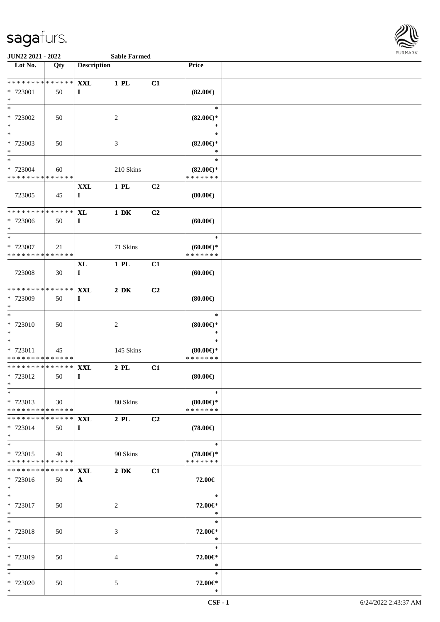

| Lot No.                                    | Qty           | <b>Description</b> |                  |    | Price                                |  |
|--------------------------------------------|---------------|--------------------|------------------|----|--------------------------------------|--|
|                                            |               |                    |                  |    |                                      |  |
| * * * * * * * * * * * * * *                |               | <b>XXL</b>         | 1 PL             | C1 |                                      |  |
| * 723001<br>$*$                            | 50            | $\mathbf{I}$       |                  |    | $(82.00\epsilon)$                    |  |
| $*$                                        |               |                    |                  |    | $\ast$                               |  |
| $* 723002$                                 | 50            |                    | $\sqrt{2}$       |    | $(82.00\epsilon)$ *                  |  |
| $*$                                        |               |                    |                  |    | $\ast$                               |  |
| $*$                                        |               |                    |                  |    | $\ast$                               |  |
| * 723003                                   | 50            |                    | $\mathfrak{Z}$   |    | $(82.00\epsilon)$ *                  |  |
| $*$                                        |               |                    |                  |    | $\ast$                               |  |
| $*$                                        |               |                    |                  |    | $\ast$                               |  |
| * 723004                                   | 60            |                    | 210 Skins        |    | $(82.00\epsilon)$ *                  |  |
| * * * * * * * * * * * * * *                |               |                    |                  |    | * * * * * * *                        |  |
|                                            |               | <b>XXL</b>         | 1 PL             | C2 |                                      |  |
| 723005                                     | 45            | $\bf{I}$           |                  |    | $(80.00\epsilon)$                    |  |
| * * * * * * * *                            | * * * * * * * | <b>XL</b>          | $1\ \mathrm{DK}$ | C2 |                                      |  |
| * 723006                                   | 50            | $\bf{I}$           |                  |    | (60.00)                              |  |
| $\ast$                                     |               |                    |                  |    |                                      |  |
| $*$                                        |               |                    |                  |    | $\ast$                               |  |
| * 723007                                   | 21            |                    | 71 Skins         |    | $(60.00)$ *                          |  |
| * * * * * * * * * * * * * *                |               |                    |                  |    | * * * * * * *                        |  |
|                                            |               | XL                 | $1$ PL           | C1 |                                      |  |
| 723008                                     | 30            | $\bf{I}$           |                  |    | (60.00)                              |  |
|                                            |               |                    |                  |    |                                      |  |
| * * * * * * * * * * * * * *                |               | <b>XXL</b>         | $2\ \mathrm{DK}$ | C2 |                                      |  |
| * 723009<br>$*$                            | 50            | $\bf{I}$           |                  |    | (80.00)                              |  |
| $\ast$                                     |               |                    |                  |    | $\ast$                               |  |
| * 723010                                   | 50            |                    | $\boldsymbol{2}$ |    | $(80.00\epsilon)$ *                  |  |
| $*$                                        |               |                    |                  |    | $\ast$                               |  |
| $*$                                        |               |                    |                  |    | $\ast$                               |  |
| * 723011                                   | 45            |                    | 145 Skins        |    | $(80.00\epsilon)$ *                  |  |
| * * * * * * * * * * * * * *                |               |                    |                  |    | * * * * * * *                        |  |
| * * * * * * * *                            | ******        | <b>XXL</b>         | $2$ PL           | C1 |                                      |  |
| * 723012                                   | 50            | $\bf{I}$           |                  |    | $(80.00\in)$                         |  |
| $*$                                        |               |                    |                  |    |                                      |  |
| $*$                                        |               |                    |                  |    | ∗                                    |  |
| * 723013<br>* * * * * * * * * * * * * *    | 30            |                    | 80 Skins         |    | $(80.00\epsilon)$ *<br>* * * * * * * |  |
| * * * * * * * * * * * * * * *              |               | <b>XXL</b>         | $2\,$ PL $\,$    | C2 |                                      |  |
| * 723014                                   | 50            | $\bf{I}$           |                  |    | $(78.00\epsilon)$                    |  |
| $*$                                        |               |                    |                  |    |                                      |  |
| $*$                                        |               |                    |                  |    | $\ast$                               |  |
| * 723015                                   | 40            |                    | 90 Skins         |    | $(78.00\epsilon)$ *                  |  |
| * * * * * * * * <mark>* * * * * * *</mark> |               |                    |                  |    | * * * * * * *                        |  |
| * * * * * * * *                            | * * * * * *   | <b>XXL</b>         | $2\,$ DK         | C1 |                                      |  |
| * 723016                                   | 50            | $\mathbf{A}$       |                  |    | 72.00€                               |  |
| $*$                                        |               |                    |                  |    |                                      |  |
| $*$                                        |               |                    |                  |    | $\ast$                               |  |
| * 723017<br>$*$                            | 50            |                    | 2                |    | 72.00€*<br>$\ast$                    |  |
| $*$                                        |               |                    |                  |    | $\ast$                               |  |
| * 723018                                   | 50            |                    | 3                |    | 72.00€*                              |  |
| $*$                                        |               |                    |                  |    | $\ast$                               |  |
| $*$                                        |               |                    |                  |    | $\ast$                               |  |
| * 723019                                   | 50            |                    | 4                |    | 72.00€*                              |  |
| $*$                                        |               |                    |                  |    | $\ast$                               |  |
| $\ast$                                     |               |                    |                  |    | $\ast$                               |  |
| $* 723020$                                 | 50            |                    | $5\,$            |    | 72.00€*                              |  |
| $*$                                        |               |                    |                  |    | $\ast$                               |  |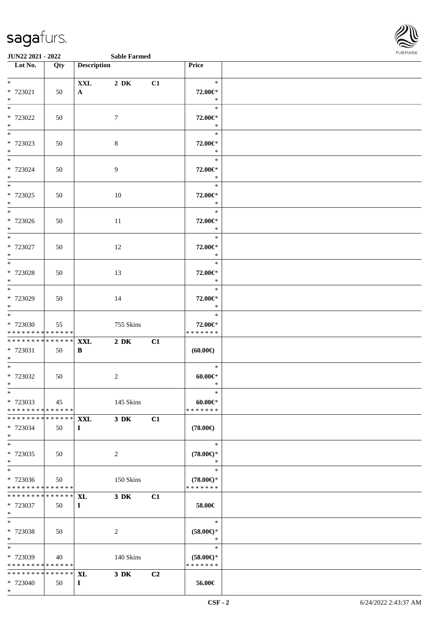

**JUN22 2021 - 2022 Sable Farmed**

| Lot No.                                                | Qty | <b>Description</b> |                  |                | Price                              |  |
|--------------------------------------------------------|-----|--------------------|------------------|----------------|------------------------------------|--|
|                                                        |     |                    |                  |                |                                    |  |
| $*$ $-$                                                |     | $\mathbf{XXL}$     | $2\,$ DK         | C1             | $\ast$                             |  |
| * 723021                                               | 50  | $\mathbf{A}$       |                  |                | 72.00€*                            |  |
| $*$<br>$*$                                             |     |                    |                  |                | $\ast$<br>$\ast$                   |  |
| * 723022                                               | 50  |                    | $\tau$           |                | 72.00€*                            |  |
| $*$                                                    |     |                    |                  |                | $\ast$                             |  |
| $*$                                                    |     |                    |                  |                | $\ast$                             |  |
| * 723023                                               | 50  |                    | $\,8\,$          |                | 72.00€*                            |  |
| $*$                                                    |     |                    |                  |                | $\ast$                             |  |
| $*$ and $*$                                            |     |                    |                  |                | $\ast$                             |  |
| * 723024<br>$*$                                        | 50  |                    | 9                |                | 72.00€*<br>$\ast$                  |  |
| $*$                                                    |     |                    |                  |                | $\ast$                             |  |
| * 723025                                               | 50  |                    | 10               |                | 72.00€*                            |  |
| $*$                                                    |     |                    |                  |                | $\ast$                             |  |
|                                                        |     |                    |                  |                | $\ast$                             |  |
| * 723026<br>$*$                                        | 50  |                    | 11               |                | 72.00€*<br>$\ast$                  |  |
| $*$                                                    |     |                    |                  |                | $\ast$                             |  |
| * 723027                                               | 50  |                    | 12               |                | 72.00€*                            |  |
| $\ast$                                                 |     |                    |                  |                | $\ast$                             |  |
| $\overline{\ast}$                                      |     |                    |                  |                | $\ast$                             |  |
| * 723028                                               | 50  |                    | 13               |                | 72.00€*                            |  |
| $*$<br>$*$                                             |     |                    |                  |                | $\ast$<br>$\ast$                   |  |
| * 723029                                               | 50  |                    | 14               |                | 72.00€*                            |  |
| $*$                                                    |     |                    |                  |                | $*$                                |  |
| $*$                                                    |     |                    |                  |                | $\ast$                             |  |
| * 723030                                               | 55  |                    | 755 Skins        |                | 72.00€*                            |  |
| * * * * * * * * <mark>* * * * * * *</mark>             |     |                    |                  |                | * * * * * * *                      |  |
| * * * * * * * * <mark>* * * * * * *</mark><br>* 723031 | 50  | <b>XXL</b><br>B    | $2\ \mathrm{DK}$ | C1             | (60.00)                            |  |
| $*$                                                    |     |                    |                  |                |                                    |  |
|                                                        |     |                    |                  |                | $\ast$                             |  |
| * 723032                                               | 50  |                    | $\overline{c}$   |                | $60.00 \text{eV}$                  |  |
| $*$                                                    |     |                    |                  |                | $\ast$                             |  |
| $*$<br>* 723033                                        | 45  |                    | 145 Skins        |                | $\ast$<br>$60.00 \in$              |  |
| * * * * * * * * * * * * * *                            |     |                    |                  |                | * * * * * * *                      |  |
| * * * * * * * * * * * * * * *                          |     | <b>XXL</b>         | 3 DK             | C1             |                                    |  |
| * 723034                                               | 50  | $\mathbf{I}$       |                  |                | $(78.00\epsilon)$                  |  |
| $*$                                                    |     |                    |                  |                |                                    |  |
| $*$                                                    |     |                    |                  |                | $\ast$                             |  |
| * 723035<br>$*$                                        | 50  |                    | $\overline{c}$   |                | $(78.00\epsilon)$ *<br>$\ast$      |  |
| $*$                                                    |     |                    |                  |                | $\ast$                             |  |
| * 723036                                               | 50  |                    | 150 Skins        |                | $(78.00\epsilon)$ *                |  |
| * * * * * * * * * * * * * *                            |     |                    |                  |                | * * * * * * *                      |  |
| * * * * * * * * * * * * * * *                          |     | <b>XL</b>          | $3\,$ DK         | C1             |                                    |  |
| * 723037<br>$*$                                        | 50  | $\mathbf{I}$       |                  |                | 58.00€                             |  |
| $*$                                                    |     |                    |                  |                | $\ast$                             |  |
| * 723038                                               | 50  |                    | $\overline{2}$   |                | $(58.00\epsilon)$ *                |  |
| $*$                                                    |     |                    |                  |                | $\ast$                             |  |
| $*$                                                    |     |                    |                  |                | $\ast$                             |  |
| * 723039<br>* * * * * * * * * * * * * *                | 40  |                    | 140 Skins        |                | $(58.00\in)^\ast$<br>* * * * * * * |  |
| * * * * * * * * <mark>* * * * * * *</mark>             |     | <b>XL</b>          | $3\,$ DK         | C <sub>2</sub> |                                    |  |
| * 723040                                               | 50  | $\mathbf{I}$       |                  |                | 56.00€                             |  |
| $*$                                                    |     |                    |                  |                |                                    |  |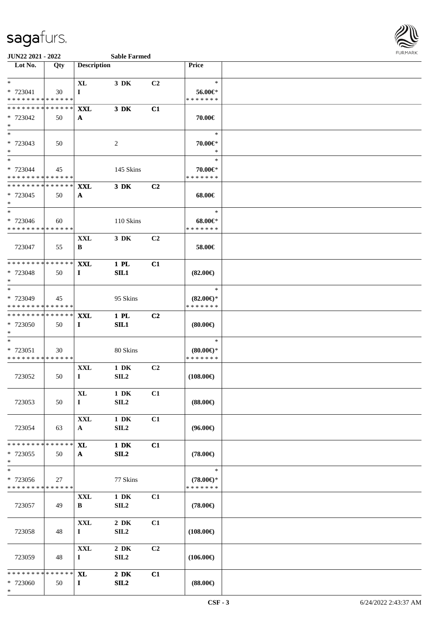

#### **JUN22 2021 - 2022 Sable Farmed**

| Lot No.                                                    | Qty         | <b>Description</b>        |                         |    | <b>Price</b>        |  |
|------------------------------------------------------------|-------------|---------------------------|-------------------------|----|---------------------|--|
|                                                            |             |                           |                         |    |                     |  |
| $*$                                                        |             | <b>XL</b>                 | 3 DK                    | C2 | $\ast$              |  |
| * 723041                                                   | 30          | $\mathbf{I}$              |                         |    | $56.00 \in$         |  |
| * * * * * * * * * * * * * *<br>* * * * * * * *             |             |                           |                         |    | * * * * * * *       |  |
| * 723042                                                   | * * * * * * | <b>XXL</b>                | 3 DK                    | C1 |                     |  |
| $*$                                                        | 50          | $\mathbf{A}$              |                         |    | 70.00€              |  |
| $*$                                                        |             |                           |                         |    | $\ast$              |  |
| * 723043                                                   | 50          |                           | $\sqrt{2}$              |    | 70.00€*             |  |
| $*$                                                        |             |                           |                         |    | $\ast$              |  |
| $*$                                                        |             |                           |                         |    | $\ast$              |  |
| * 723044                                                   | 45          |                           | 145 Skins               |    | 70.00€*             |  |
| * * * * * * * * * * * * * *<br>* * * * * * * *             | * * * * * * |                           |                         | C2 | * * * * * * *       |  |
| * 723045                                                   | 50          | <b>XXL</b><br>A           | 3 DK                    |    | 68.00€              |  |
| $*$                                                        |             |                           |                         |    |                     |  |
| $*$                                                        |             |                           |                         |    | $\ast$              |  |
| * 723046                                                   | 60          |                           | 110 Skins               |    | $68.00 \in$         |  |
| * * * * * * * * * * * * * *                                |             |                           |                         |    | * * * * * * *       |  |
|                                                            |             | XXL                       | 3 DK                    | C2 |                     |  |
| 723047                                                     | 55          | B                         |                         |    | 58.00€              |  |
| * * * * * * * * * * * * * *                                |             | <b>XXL</b>                | 1 PL                    | C1 |                     |  |
| * 723048                                                   | 50          | $\bf{I}$                  | SL1                     |    | $(82.00\epsilon)$   |  |
| $*$                                                        |             |                           |                         |    |                     |  |
| $*$                                                        |             |                           |                         |    | $\ast$              |  |
| * 723049                                                   | 45          |                           | 95 Skins                |    | $(82.00\epsilon)$ * |  |
| * * * * * * * * * * * * * *<br>* * * * * * * * * * * * * * |             |                           |                         |    | * * * * * * *       |  |
| * 723050                                                   | 50          | <b>XXL</b><br>$\mathbf I$ | $1$ PL<br>SL1           | C2 | $(80.00\epsilon)$   |  |
| $*$                                                        |             |                           |                         |    |                     |  |
| $*$                                                        |             |                           |                         |    | $\ast$              |  |
| * 723051                                                   | 30          |                           | 80 Skins                |    | $(80.00\epsilon)$ * |  |
| * * * * * * * * * * * * * *                                |             |                           |                         |    | * * * * * * *       |  |
|                                                            |             | <b>XXL</b>                | $1\ \mathrm{DK}$        | C2 |                     |  |
| 723052                                                     | 50          | $\mathbf I$               | SL2                     |    | $(108.00\epsilon)$  |  |
|                                                            |             | XL                        | $1\ \mathrm{DK}$        | C1 |                     |  |
| 723053                                                     | 50          | $\bf{I}$                  | SL2                     |    | $(88.00\epsilon)$   |  |
|                                                            |             |                           |                         |    |                     |  |
|                                                            |             | $\mathbf{XXL}$            | $1\ \mathrm{DK}$        | C1 |                     |  |
| 723054                                                     | 63          | $\mathbf{A}$              | SL2                     |    | $(96.00\epsilon)$   |  |
| * * * * * * * * * * * * * *                                |             | XL                        | $1\ \mathrm{DK}$        | C1 |                     |  |
| * 723055                                                   | 50          | $\mathbf{A}$              | SL2                     |    | $(78.00\epsilon)$   |  |
| $*$                                                        |             |                           |                         |    |                     |  |
| $\ast$                                                     |             |                           |                         |    | $\ast$              |  |
| $* 723056$                                                 | 27          |                           | 77 Skins                |    | $(78.00\epsilon)$ * |  |
| * * * * * * * * * * * * * *                                |             |                           |                         |    | * * * * * * *       |  |
| 723057                                                     | 49          | <b>XXL</b><br>B           | $1\ \mathrm{DK}$<br>SL2 | C1 | $(78.00\epsilon)$   |  |
|                                                            |             |                           |                         |    |                     |  |
|                                                            |             | $\mathbf{XXL}$            | $2\,$ DK                | C1 |                     |  |
| 723058                                                     | 48          | $\mathbf I$               | SL2                     |    | $(108.00\epsilon)$  |  |
|                                                            |             |                           |                         |    |                     |  |
|                                                            |             | $\mathbf{XXL}$            | $2\,$ DK                | C2 |                     |  |
| 723059                                                     | 48          | $\bf{I}$                  | SIL <sub>2</sub>        |    | $(106.00\epsilon)$  |  |
| * * * * * * * * * * * * * *                                |             | <b>XL</b>                 | $2\,$ DK                | C1 |                     |  |
| * 723060                                                   | 50          | $\mathbf{I}$              | SL2                     |    | $(88.00\epsilon)$   |  |
| $\ast$                                                     |             |                           |                         |    |                     |  |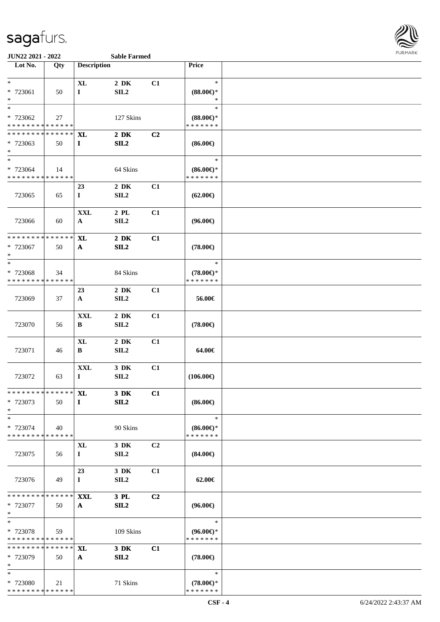

| Lot No.                                 | Qty         | <b>Description</b> |                          |                | Price                                |  |
|-----------------------------------------|-------------|--------------------|--------------------------|----------------|--------------------------------------|--|
|                                         |             |                    |                          |                |                                      |  |
| $*$                                     |             | $\mathbf{XL}$      | $2\,$ DK                 | C1             | $\ast$                               |  |
| * 723061                                | 50          | $\mathbf I$        | SL2                      |                | $(88.00\epsilon)$ *                  |  |
| $\ast$                                  |             |                    |                          |                | ∗                                    |  |
| $*$                                     |             |                    |                          |                | $\ast$                               |  |
| * 723062                                | 27          |                    | 127 Skins                |                | $(88.00\epsilon)$ *                  |  |
| * * * * * * * * * * * * * *             |             |                    |                          |                | * * * * * * *                        |  |
| * * * * * * * *                         | * * * * * * |                    |                          |                |                                      |  |
|                                         |             | <b>XL</b>          | $2\,$ DK                 | C <sub>2</sub> |                                      |  |
| * 723063<br>$*$                         | 50          | $\mathbf{I}$       | SL2                      |                | $(86.00\epsilon)$                    |  |
| $*$                                     |             |                    |                          |                | $\ast$                               |  |
| * 723064                                |             |                    |                          |                |                                      |  |
| * * * * * * * * * * * * * *             | 14          |                    | 64 Skins                 |                | $(86.00\epsilon)$ *<br>* * * * * * * |  |
|                                         |             | 23                 | $2\,$ DK                 | C1             |                                      |  |
|                                         |             |                    |                          |                |                                      |  |
| 723065                                  | 65          | $\bf{I}$           | SL2                      |                | $(62.00\epsilon)$                    |  |
|                                         |             |                    |                          |                |                                      |  |
|                                         |             | <b>XXL</b>         | $2$ PL $\,$              | C1             |                                      |  |
| 723066                                  | 60          | $\mathbf{A}$       | SL2                      |                | $(96.00\epsilon)$                    |  |
| * * * * * * * *                         | * * * * * * |                    |                          |                |                                      |  |
|                                         |             | <b>XL</b>          | $2\,$ DK                 | C1             |                                      |  |
| * 723067<br>$\ast$                      | 50          | A                  | SL2                      |                | $(78.00\epsilon)$                    |  |
| $\ast$                                  |             |                    |                          |                | $\ast$                               |  |
|                                         |             |                    |                          |                |                                      |  |
| * 723068<br>* * * * * * * * * * * * * * | 34          |                    | 84 Skins                 |                | $(78.00\epsilon)$ *<br>* * * * * * * |  |
|                                         |             |                    |                          |                |                                      |  |
|                                         |             | 23                 | $2\,$ DK                 | C1             |                                      |  |
| 723069                                  | 37          | $\mathbf{A}$       | SL2                      |                | 56.00€                               |  |
|                                         |             |                    |                          |                |                                      |  |
|                                         |             | <b>XXL</b>         | $2\,$ DK                 | C1             |                                      |  |
| 723070                                  | 56          | B                  | SL2                      |                | $(78.00\epsilon)$                    |  |
|                                         |             |                    |                          |                |                                      |  |
|                                         |             | <b>XL</b>          | $2\,$ DK                 | C1             |                                      |  |
| 723071                                  | 46          | B                  | SL2                      |                | 64.00€                               |  |
|                                         |             |                    |                          |                |                                      |  |
|                                         |             | <b>XXL</b>         | 3 DK                     | C1             | (106.00)                             |  |
| 723072                                  | 63          | $\bf{I}$           | SL2                      |                |                                      |  |
| ******** <mark>******</mark> XL         |             |                    |                          | C1             |                                      |  |
| * 723073                                | 50          | $\bf{I}$           | $3\,$ DK<br>SL2          |                | $(86.00\epsilon)$                    |  |
| $\ast$                                  |             |                    |                          |                |                                      |  |
| $\ast$                                  |             |                    |                          |                | $\ast$                               |  |
| * 723074                                | 40          |                    | 90 Skins                 |                |                                      |  |
| * * * * * * * * * * * * * *             |             |                    |                          |                | $(86.00\epsilon)$ *<br>* * * * * * * |  |
|                                         |             |                    |                          |                |                                      |  |
| 723075                                  | 56          | XL<br>$\bf{I}$     | 3 DK<br>SIL <sub>2</sub> | C <sub>2</sub> | $(84.00\epsilon)$                    |  |
|                                         |             |                    |                          |                |                                      |  |
|                                         |             | 23                 | 3 DK                     | C1             |                                      |  |
| 723076                                  | 49          | $\mathbf I$        | SIL <sub>2</sub>         |                | 62.00€                               |  |
|                                         |             |                    |                          |                |                                      |  |
| * * * * * * * * * * * * * *             |             | <b>XXL</b>         | 3 PL                     | C <sub>2</sub> |                                      |  |
| * 723077                                | 50          | $\mathbf{A}$       | SL2                      |                | $(96.00\epsilon)$                    |  |
| $\ast$                                  |             |                    |                          |                |                                      |  |
| $\ast$                                  |             |                    |                          |                | $\ast$                               |  |
| * 723078                                | 59          |                    | 109 Skins                |                | $(96.00\epsilon)$ *                  |  |
| * * * * * * * * * * * * * *             |             |                    |                          |                | * * * * * * *                        |  |
| * * * * * * * * * * * * * *             |             | <b>XL</b>          | 3 DK                     | C1             |                                      |  |
| * 723079                                | 50          | $\mathbf{A}$       | SL2                      |                | $(78.00\epsilon)$                    |  |
| $*$                                     |             |                    |                          |                |                                      |  |
| $*$                                     |             |                    |                          |                | $\ast$                               |  |
| * 723080                                | 21          |                    | 71 Skins                 |                | $(78.00\in)^\ast$                    |  |
| ******** <mark>******</mark>            |             |                    |                          |                | * * * * * * *                        |  |
|                                         |             |                    |                          |                |                                      |  |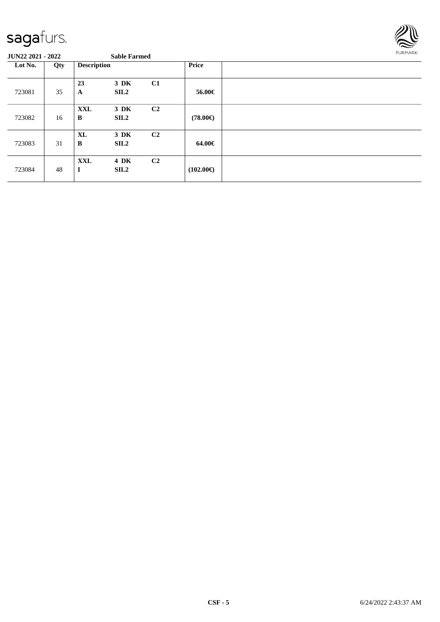

#### **JUN22 2021 - 2022 Sable Farmed**

**Lot No. Qty Description Price** 723081 35 **23 3 DK C1 A SIL2 56.00€** 723082 16 **XXL 3 DK C2 B SIL2** (78.00€) 723083 31 **XL 3 DK C2 B SIL2 64.00€** 723084 48 **XXL 4 DK C2**  $(102.00 \in)$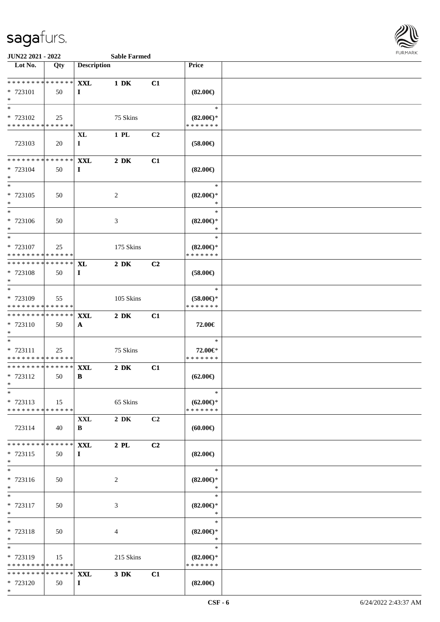

**JUN22 2021 - 2022 Sable Farmed**<br> **Let No. | Oty | Description** 

| Lot No.                                 | Qty | <b>Description</b> |                  |    | Price                                |  |
|-----------------------------------------|-----|--------------------|------------------|----|--------------------------------------|--|
| * * * * * * * * * * * * * *             |     | <b>XXL</b>         | $1\ \mathrm{DK}$ | C1 |                                      |  |
| * 723101                                | 50  | $\bf{I}$           |                  |    | $(82.00\epsilon)$                    |  |
| $\ast$                                  |     |                    |                  |    |                                      |  |
| $\overline{\ast}$                       |     |                    |                  |    | $\ast$                               |  |
| * 723102<br>* * * * * * * * * * * * * * | 25  |                    | 75 Skins         |    | $(82.00\epsilon)$ *<br>* * * * * * * |  |
|                                         |     | XL                 | 1 PL             | C2 |                                      |  |
| 723103                                  | 20  | $\mathbf I$        |                  |    | $(58.00\epsilon)$                    |  |
|                                         |     |                    |                  |    |                                      |  |
| * * * * * * * * * * * * * *             |     | <b>XXL</b>         | $2\,$ DK         | C1 |                                      |  |
| * 723104<br>$*$                         | 50  | $\bf{I}$           |                  |    | $(82.00\epsilon)$                    |  |
| $\overline{\phantom{0}}$                |     |                    |                  |    | $\ast$                               |  |
| * 723105                                | 50  |                    | $\overline{c}$   |    | $(82.00\epsilon)$ *                  |  |
| $*$                                     |     |                    |                  |    | $\ast$                               |  |
| $\overline{\phantom{0}}$                |     |                    |                  |    | $\ast$                               |  |
| $* 723106$<br>$*$                       | 50  |                    | 3                |    | $(82.00\epsilon)$ *<br>$\ast$        |  |
|                                         |     |                    |                  |    | $\ast$                               |  |
| * 723107                                | 25  |                    | 175 Skins        |    | $(82.00\epsilon)$ *                  |  |
| * * * * * * * * * * * * * *             |     |                    |                  |    | * * * * * * *                        |  |
| * * * * * * * * * * * * * * *           |     | <b>XL</b>          | $2\ \mathrm{DK}$ | C2 |                                      |  |
| * 723108<br>$*$                         | 50  | $\bf{I}$           |                  |    | $(58.00\epsilon)$                    |  |
| $*$                                     |     |                    |                  |    | $\ast$                               |  |
| * 723109                                | 55  |                    | 105 Skins        |    | $(58.00\epsilon)$ *                  |  |
| * * * * * * * * * * * * * *             |     |                    |                  |    | * * * * * * *                        |  |
| * * * * * * * * * * * * * *             |     | <b>XXL</b>         | $2\ \mathrm{DK}$ | C1 |                                      |  |
| * 723110<br>$*$                         | 50  | $\mathbf{A}$       |                  |    | 72.00€                               |  |
| $\ast$                                  |     |                    |                  |    | $\ast$                               |  |
| * 723111                                | 25  |                    | 75 Skins         |    | 72.00€*                              |  |
| * * * * * * * * * * * * * *             |     |                    |                  |    | * * * * * * *                        |  |
| * * * * * * * * * * * * * * *           |     | <b>XXL</b>         | $2\,$ DK         | C1 |                                      |  |
| * 723112<br>$*$                         | 50  | B                  |                  |    | $(62.00\epsilon)$                    |  |
| $*$                                     |     |                    |                  |    | $\ast$                               |  |
| * 723113                                | 15  |                    | 65 Skins         |    | $(62.00\epsilon)$ *                  |  |
| * * * * * * * * * * * * * *             |     |                    |                  |    | * * * * * * *                        |  |
|                                         |     | <b>XXL</b>         | $2\,$ DK         | C2 |                                      |  |
| 723114                                  | 40  | B                  |                  |    | (60.00)                              |  |
| * * * * * * * * * * * * * *             |     | <b>XXL</b>         | $2$ PL           | C2 |                                      |  |
| * 723115                                | 50  | $\mathbf{I}$       |                  |    | $(82.00\epsilon)$                    |  |
| $*$                                     |     |                    |                  |    |                                      |  |
| $*$                                     |     |                    |                  |    | $\ast$                               |  |
| * 723116<br>$*$                         | 50  |                    | 2                |    | $(82.00\epsilon)$ *<br>$\ast$        |  |
| $\overline{\phantom{0}}$                |     |                    |                  |    | $\ast$                               |  |
| * 723117                                | 50  |                    | 3                |    | $(82.00\epsilon)$ *                  |  |
| $*$                                     |     |                    |                  |    | $\ast$                               |  |
| $*$                                     |     |                    |                  |    | $\ast$                               |  |
| * 723118<br>$*$                         | 50  |                    | 4                |    | $(82.00\epsilon)$ *<br>$\ast$        |  |
| $*$                                     |     |                    |                  |    | $\ast$                               |  |
| * 723119                                | 15  |                    | 215 Skins        |    | $(82.00\epsilon)$ *                  |  |
| * * * * * * * * * * * * * *             |     |                    |                  |    | * * * * * * *                        |  |
| * * * * * * * * * * * * * * *           |     | <b>XXL</b>         | 3 DK             | C1 |                                      |  |
| * 723120<br>$*$                         | 50  | $\bf{I}$           |                  |    | $(82.00\epsilon)$                    |  |
|                                         |     |                    |                  |    |                                      |  |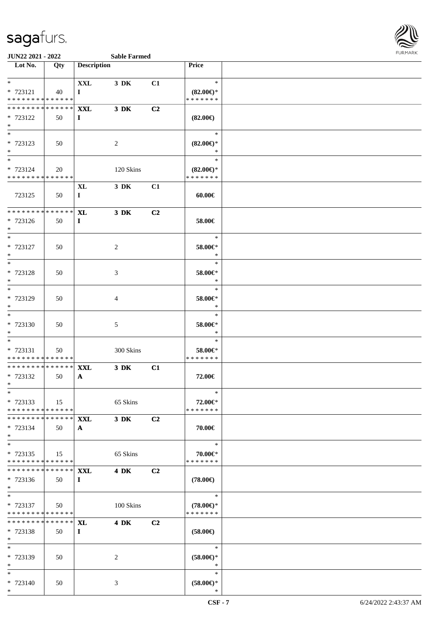

#### **JUN22 2021 - 2022 Sable Farmed**

| Lot No.                                   | Qty | <b>Description</b> |                  |                | Price                                |  |
|-------------------------------------------|-----|--------------------|------------------|----------------|--------------------------------------|--|
|                                           |     |                    |                  |                |                                      |  |
| $*$                                       |     | <b>XXL</b>         | 3 DK             | C1             | $\ast$                               |  |
| * 723121                                  | 40  | $\mathbf I$        |                  |                | $(82.00\epsilon)$ *                  |  |
| * * * * * * * * * * * * * *               |     |                    |                  |                | * * * * * * *                        |  |
| ************** <b>XXL</b>                 |     |                    | 3 DK             | C <sub>2</sub> |                                      |  |
| * 723122                                  | 50  | $\bf I$            |                  |                | $(82.00\epsilon)$                    |  |
| $*$                                       |     |                    |                  |                |                                      |  |
| $*$                                       |     |                    |                  |                | $\ast$                               |  |
| * 723123                                  | 50  |                    | 2                |                | $(82.00\epsilon)$ *                  |  |
| $*$<br>$*$ $*$                            |     |                    |                  |                | $\ast$<br>$\ast$                     |  |
|                                           |     |                    |                  |                |                                      |  |
| * 723124<br>* * * * * * * * * * * * * * * | 20  |                    | 120 Skins        |                | $(82.00\epsilon)$ *<br>* * * * * * * |  |
|                                           |     | XL                 | 3 DK             | C1             |                                      |  |
| 723125                                    | 50  | $\mathbf{I}$       |                  |                | $60.00 \in$                          |  |
|                                           |     |                    |                  |                |                                      |  |
| ******** <mark>******</mark>              |     | <b>XL</b>          | $3$ DK           | C <sub>2</sub> |                                      |  |
| * 723126                                  | 50  | $\bf{I}$           |                  |                | 58.00€                               |  |
| $*$                                       |     |                    |                  |                |                                      |  |
| $*$                                       |     |                    |                  |                | $\ast$                               |  |
| * 723127                                  | 50  |                    | 2                |                | 58.00€*                              |  |
| $\ast$                                    |     |                    |                  |                | $\ast$                               |  |
| $*$                                       |     |                    |                  |                | $\ast$                               |  |
| * 723128                                  | 50  |                    | 3                |                | 58.00€*                              |  |
| $*$<br>$*$                                |     |                    |                  |                | $\ast$<br>$\ast$                     |  |
| * 723129                                  |     |                    |                  |                |                                      |  |
| $*$                                       | 50  |                    | 4                |                | 58.00€*<br>$\ast$                    |  |
| $*$                                       |     |                    |                  |                | $\ast$                               |  |
| * 723130                                  | 50  |                    | 5                |                | $58.00 \in$ *                        |  |
| $*$                                       |     |                    |                  |                | $\ast$                               |  |
| $*$                                       |     |                    |                  |                | $\ast$                               |  |
| * 723131                                  | 50  |                    | 300 Skins        |                | 58.00€*                              |  |
| * * * * * * * * * * * * * * *             |     |                    |                  |                | * * * * * * *                        |  |
| * * * * * * * * * * * * * * *             |     | <b>XXL</b>         | $3\ \mathrm{DK}$ | C1             |                                      |  |
| * 723132                                  | 50  | $\mathbf{A}$       |                  |                | 72.00€                               |  |
| $\ast$                                    |     |                    |                  |                |                                      |  |
| $*$                                       |     |                    |                  |                | $\ast$                               |  |
| * 723133<br>* * * * * * * * * * * * * *   | 15  |                    | 65 Skins         |                | 72.00€*<br>* * * * * * *             |  |
| * * * * * * * * * * * * * * *             |     | <b>XXL</b>         | 3 DK             | C2             |                                      |  |
| * 723134                                  | 50  | $\mathbf{A}$       |                  |                | 70.00€                               |  |
| $*$                                       |     |                    |                  |                |                                      |  |
| $*$                                       |     |                    |                  |                | $\ast$                               |  |
| * 723135                                  | 15  |                    | 65 Skins         |                | 70.00€*                              |  |
| * * * * * * * * * * * * * *               |     |                    |                  |                | * * * * * * *                        |  |
| ******** <mark>******</mark>              |     | <b>XXL</b>         | <b>4 DK</b>      | C2             |                                      |  |
| $* 723136$                                | 50  | $\bf{I}$           |                  |                | $(78.00\epsilon)$                    |  |
| $*$                                       |     |                    |                  |                |                                      |  |
| $*$                                       |     |                    |                  |                | $\ast$                               |  |
| * 723137<br>* * * * * * * * * * * * * * * | 50  |                    | 100 Skins        |                | $(78.00\epsilon)$ *<br>* * * * * * * |  |
| * * * * * * * * * * * * * * *             |     | <b>XL</b>          | 4 DK             |                |                                      |  |
| * 723138                                  | 50  | $\bf{I}$           |                  | C <sub>2</sub> | $(58.00\epsilon)$                    |  |
| $*$                                       |     |                    |                  |                |                                      |  |
| $*$                                       |     |                    |                  |                | $\ast$                               |  |
| * 723139                                  | 50  |                    | 2                |                | $(58.00\epsilon)$ *                  |  |
| $*$                                       |     |                    |                  |                | $\ast$                               |  |
| $*$                                       |     |                    |                  |                | $\ast$                               |  |
| * 723140                                  | 50  |                    | 3                |                | $(58.00\epsilon)$ *                  |  |
| $*$                                       |     |                    |                  |                | $\ast$                               |  |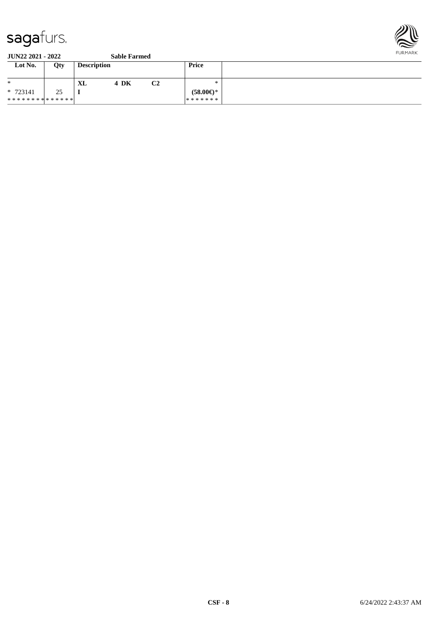

| Lot No.                       | Qty | <b>Description</b> |      |    | Price               |  |
|-------------------------------|-----|--------------------|------|----|---------------------|--|
| $\ast$                        |     | XL                 | 4 DK | C2 | ∗                   |  |
| $* 723141$                    | 25  | -                  |      |    | $(58.00\epsilon)$ * |  |
| * * * * * * * * * * * * * * * |     |                    |      |    | *******             |  |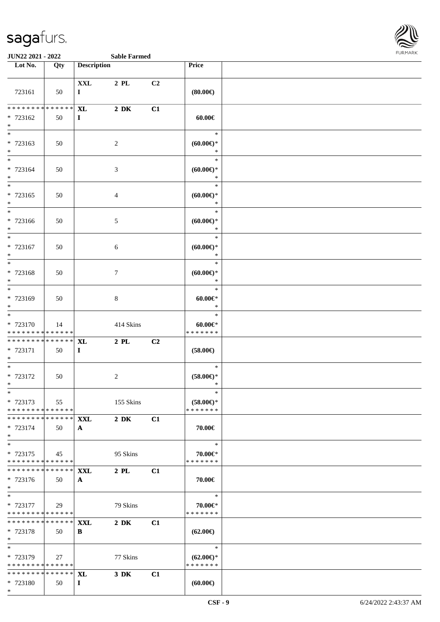

| Lot No.                                                       | Qty          | <b>Description</b>         |                  |    | Price                                          |  |
|---------------------------------------------------------------|--------------|----------------------------|------------------|----|------------------------------------------------|--|
| 723161                                                        | 50           | <b>XXL</b><br>$\bf{I}$     | 2 PL             | C2 | (80.00)                                        |  |
| * * * * * * * * <mark>* * * * * * *</mark><br>* 723162<br>$*$ | 50           | <b>XL</b><br>$\mathbf{I}$  | $2\ \mathrm{DK}$ | C1 | $60.00 \in$                                    |  |
| $*$<br>* 723163<br>$*$                                        | 50           |                            | 2                |    | $\ast$<br>$(60.00ε)$ *<br>$\ast$               |  |
| $*$<br>* 723164<br>$*$                                        | 50           |                            | $\mathfrak{Z}$   |    | $\ast$<br>$(60.00ε)$ *<br>$\ast$               |  |
| $\overline{\phantom{0}}$<br>* 723165<br>$*$                   | 50           |                            | $\overline{4}$   |    | $\ast$<br>$(60.00\epsilon)$ *<br>$\ast$        |  |
| $*$<br>* 723166<br>$*$                                        | 50           |                            | $5\,$            |    | $\ast$<br>$(60.00\varepsilon)$ *<br>$\ast$     |  |
| $*$<br>* 723167<br>$*$                                        | 50           |                            | 6                |    | $\ast$<br>$(60.00ε)$ *<br>$\ast$               |  |
| $\overline{\ }$<br>* 723168<br>$*$                            | 50           |                            | $\boldsymbol{7}$ |    | $\ast$<br>$(60.00ε)$ *<br>$\ast$               |  |
| $*$<br>* 723169<br>$*$                                        | 50           |                            | $8\,$            |    | $\ast$<br>$60.00 \in$<br>$\ast$                |  |
| $*$<br>* 723170<br>* * * * * * * * * * * * * *                | 14           |                            | 414 Skins        |    | $\ast$<br>$60.00 \in$<br>* * * * * * *         |  |
| * * * * * * * *<br>* 723171<br>$*$                            | ******<br>50 | <b>XL</b><br>$\mathbf{I}$  | $2$ PL           | C2 | $(58.00\epsilon)$                              |  |
| $*$<br>* 723172<br>$*$                                        | 50           |                            | $\sqrt{2}$       |    | $\ast$<br>$(58.00\epsilon)^\ast$<br>$\ast$     |  |
| $*$<br>* 723173<br>* * * * * * * * * * * * * *                | 55           |                            | 155 Skins        |    | $\ast$<br>$(58.00ε)$ *<br>* * * * * * *        |  |
| * * * * * * * * * * * * * * *<br>* 723174<br>$*$              | 50           | <b>XXL</b><br>$\mathbf{A}$ | $2\ \mathrm{DK}$ | C1 | 70.00€                                         |  |
| $*$<br>* 723175<br>* * * * * * * * * * * * * *                | 45           |                            | 95 Skins         |    | $\ast$<br>70.00€*<br>* * * * * * *             |  |
| * * * * * * * * * * * * * * *<br>* 723176<br>$*$              | 50           | <b>XXL</b><br>$\mathbf{A}$ | $2\,$ PL $\,$    | C1 | 70.00€                                         |  |
| $*$<br>* 723177<br>* * * * * * * * * * * * * *                | 29           |                            | 79 Skins         |    | $\ast$<br>70.00€*<br>* * * * * * *             |  |
| * * * * * * * * * * * * * * *<br>* 723178<br>$*$              | 50           | XXL<br>В                   | $2\,$ DK         | C1 | $(62.00\epsilon)$                              |  |
| $*$<br>* 723179<br>* * * * * * * * * * * * * *                | 27           |                            | 77 Skins         |    | $\ast$<br>$(62.00\epsilon)$ *<br>* * * * * * * |  |
| * * * * * * * * * * * * * * *<br>* 723180<br>$*$              | 50           | <b>XL</b><br>$\bf{I}$      | $3\,$ DK         | C1 | (60.00)                                        |  |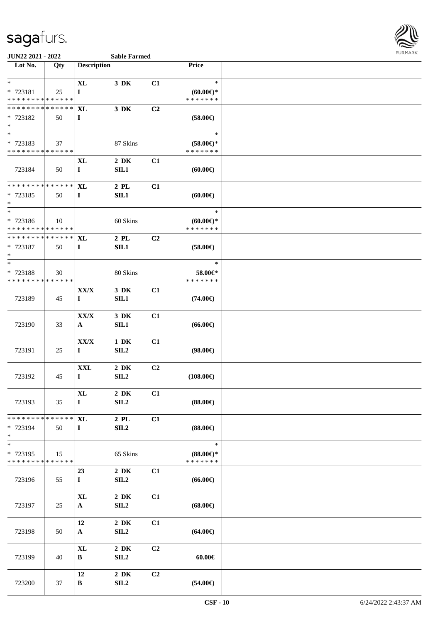

| Lot No.                                                       | Qty | <b>Description</b>            |                              |                | <b>Price</b>                                   |  |
|---------------------------------------------------------------|-----|-------------------------------|------------------------------|----------------|------------------------------------------------|--|
| $*$                                                           |     | $\bold{X}\bold{L}$            | 3 DK                         | C1             | $\ast$                                         |  |
| * 723181<br>* * * * * * * * <mark>* * * * * * *</mark>        | 25  | $\mathbf{I}$                  |                              |                | $(60.00\varepsilon)$ *<br>* * * * * * *        |  |
| * * * * * * * * <mark>* * * * * * *</mark>                    |     | <b>XL</b>                     | 3 DK                         | C2             |                                                |  |
| * 723182<br>$*$                                               | 50  | $\bf{I}$                      |                              |                | $(58.00\epsilon)$                              |  |
|                                                               |     |                               |                              |                | $\ast$                                         |  |
| * 723183<br>* * * * * * * * <mark>* * * * * * *</mark>        | 37  |                               | 87 Skins                     |                | $(58.00\epsilon)$ *<br>* * * * * * *           |  |
| 723184                                                        | 50  | <b>XL</b><br>$\mathbf{I}$     | $2\ \mathrm{DK}$<br>SL1      | C1             | (60.00)                                        |  |
| * * * * * * * * <mark>* * * * * * *</mark><br>* 723185<br>$*$ | 50  | <b>XL</b><br>$\mathbf{I}$     | $2$ PL<br>SL1                | C1             | (60.00)                                        |  |
| $*$<br>* 723186<br>* * * * * * * * <mark>* * * * * * *</mark> | 10  |                               | 60 Skins                     |                | $\ast$<br>(60.00)<br>* * * * * * *             |  |
| * * * * * * * * <mark>* * * * * * *</mark><br>* 723187<br>$*$ | 50  | <b>XL</b><br>$\bf{I}$         | $2$ PL<br>SL1                | C2             | $(58.00\epsilon)$                              |  |
| $*$<br>* 723188<br>* * * * * * * * * * * * * * *              | 30  |                               | 80 Skins                     |                | $\ast$<br>58.00€*<br>* * * * * * *             |  |
| 723189                                                        | 45  | XX/X<br>$\mathbf I$           | 3 DK<br>SIL1                 | C1             | $(74.00\epsilon)$                              |  |
| 723190                                                        | 33  | ${\bf XX/ X}$<br>$\mathbf{A}$ | 3 DK<br>SIL1                 | C1             | $(66.00\epsilon)$                              |  |
| 723191                                                        | 25  | ${\bf XX/ X}$<br>$\mathbf{I}$ | $1\,$ DK<br>SIL <sub>2</sub> | C1             | $(98.00\epsilon)$                              |  |
| 723192                                                        | 45  | <b>XXL</b><br>$\bf{I}$        | $2\,$ DK<br>SL2              | C <sub>2</sub> | $(108.00\epsilon)$                             |  |
| 723193                                                        | 35  | $\mathbf{XL}$<br>$\mathbf{I}$ | $2\,$ DK<br>SIL <sub>2</sub> | C1             | $(88.00\epsilon)$                              |  |
| * * * * * * * * * * * * * *<br>* 723194<br>$*$                | 50  | XL<br>$\bf{I}$                | $2$ PL<br>SL2                | C1             | $(88.00\epsilon)$                              |  |
| * 723195<br>* * * * * * * * <mark>* * * * * * *</mark>        | 15  |                               | 65 Skins                     |                | $\ast$<br>$(88.00\epsilon)$ *<br>* * * * * * * |  |
| 723196                                                        | 55  | 23<br>$\mathbf{I}$            | $2\,$ DK<br>SIL <sub>2</sub> | C1             | $(66.00\epsilon)$                              |  |
| 723197                                                        | 25  | $\mathbf{XL}$<br>$\mathbf{A}$ | $2\,$ DK<br>SL2              | C1             | $(68.00\epsilon)$                              |  |
| 723198                                                        | 50  | 12<br>$\mathbf{A}$            | $2\,$ DK<br>SL2              | C1             | $(64.00\epsilon)$                              |  |
| 723199                                                        | 40  | $\bold{X}\bold{L}$<br>B       | $2\,$ DK<br>SL2              | C2             | $60.00 \in$                                    |  |
| 723200                                                        | 37  | 12<br>B                       | $2\,$ DK<br>SL2              | C2             | $(54.00\epsilon)$                              |  |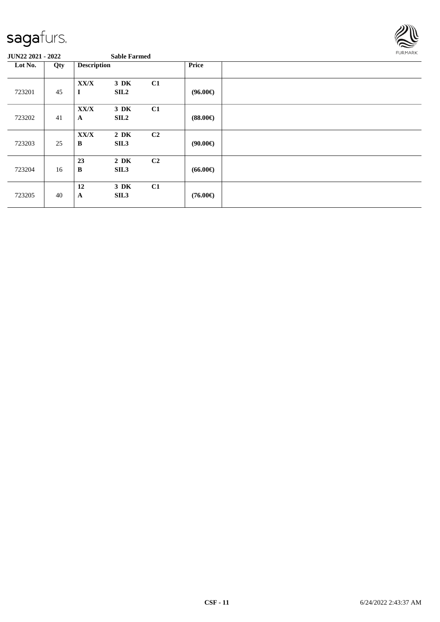

| Lot No. | Qty | <b>Description</b>        |                          | <b>Price</b>   |                   |  |
|---------|-----|---------------------------|--------------------------|----------------|-------------------|--|
| 723201  | 45  | XX/X<br>$\bf{I}$          | 3 DK<br><b>SIL2</b>      | C1             | $(96.00\epsilon)$ |  |
| 723202  | 41  | XX/X<br>$\mathbf{A}$      | 3 DK<br>SIL <sub>2</sub> | C1             | $(88.00\epsilon)$ |  |
| 723203  | 25  | ${\bf XX/ X}$<br>$\bf{B}$ | $2\,$ DK<br>SIL3         | C2             | $(90.00\epsilon)$ |  |
| 723204  | 16  | 23<br>$\bf{B}$            | $2\,$ DK<br>SIL3         | C <sub>2</sub> | $(66.00\epsilon)$ |  |
| 723205  | 40  | 12<br>$\mathbf A$         | 3 DK<br>SIL <sub>3</sub> | C1             | $(76.00\epsilon)$ |  |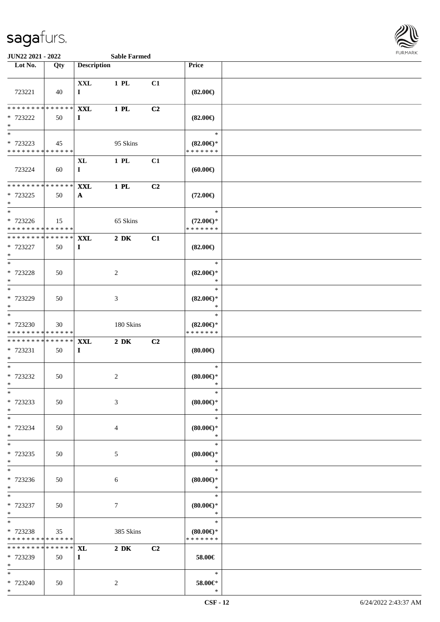

**JUN22 2021 - 2022 Sable Farmed**

| <b>XXL</b><br>1 PL<br>C1<br>723221<br>$(82.00\epsilon)$<br>40<br>$\mathbf{I}$<br>* * * * * * * *<br>* * * * * *<br><b>XXL</b><br>$1$ PL<br>C2<br>* 723222<br>$(82.00\in)$<br>50<br>$\mathbf{I}$<br>$\ast$<br>* 723223<br>95 Skins<br>$(82.00\epsilon)$ *<br>45<br>* * * * * * *<br>* * * * * * * * * * * * * *<br>C1<br><b>XL</b><br>1 PL<br>723224<br>60<br>$\bf{I}$<br>(60.00)<br>******<br>1 PL<br>C2<br><b>XXL</b><br>$(72.00\epsilon)$<br>50<br>$\mathbf{A}$<br>$\overline{\ast}$<br>$\ast$<br>* 723226<br>65 Skins<br>$(72.00\epsilon)$ *<br>15<br>* * * * * * * * * * * * * *<br>* * * * * * *<br>* * * * * * * * * * * * * * *<br><b>XXL</b><br>$2\,$ DK<br>C1<br>$(82.00\epsilon)$<br>50<br>$\bf{I}$<br>$\ast$<br>* 723228<br>$(82.00\epsilon)$ *<br>$\overline{c}$<br>50<br>$\ast$<br>$\ast$<br>$(82.00\epsilon)$ *<br>3<br>50<br>$\ast$<br>$*$<br>$\ast$<br>* 723230<br>180 Skins<br>$(82.00\epsilon)$ *<br>30<br>* * * * * * *<br>* * * * * * * * * * * * * *<br>******** <mark>******</mark><br>$2\ \mathrm{DK}$<br>C <sub>2</sub><br><b>XXL</b><br>(80.00)<br>50<br>$\bf{I}$<br>$\overline{\ast}$<br>$\ast$<br>* 723232<br>$\sqrt{2}$<br>$(80.00\epsilon)$ *<br>50<br>$\ast$<br>(80.00)<br>50<br>3<br>$\ast$<br>$*$<br>$\ast$<br>* 723234<br>(80.00)<br>50<br>4<br>$*$<br>$\ast$<br>$\ast$<br>(80.00)<br>$5\,$<br>50<br>$\ast$<br>$\ast$<br>$\ast$<br>* 723236<br>$(80.00\epsilon)$ *<br>50<br>$\sqrt{6}$<br>$*$<br>$\ast$<br>$\ast$<br>$(80.00\epsilon)$ *<br>50<br>$\tau$<br>$\ast$<br>$\ast$<br>* 723238<br>385 Skins<br>$(80.00\epsilon)$ *<br>35<br>* * * * * * *<br>* * * * * * * * * * * * * *<br>* * * * * * * * * * * * * * *<br>$2\,$ DK<br>C2<br><b>XL</b><br>58.00€<br>50<br>$\bf{I}$<br>$\ast$<br>* 723240<br>$58.00 \text{E}^*$<br>50<br>$\boldsymbol{2}$<br>$\ast$ | Lot No.           | Qty | <b>Description</b> |  | Price |  |
|-------------------------------------------------------------------------------------------------------------------------------------------------------------------------------------------------------------------------------------------------------------------------------------------------------------------------------------------------------------------------------------------------------------------------------------------------------------------------------------------------------------------------------------------------------------------------------------------------------------------------------------------------------------------------------------------------------------------------------------------------------------------------------------------------------------------------------------------------------------------------------------------------------------------------------------------------------------------------------------------------------------------------------------------------------------------------------------------------------------------------------------------------------------------------------------------------------------------------------------------------------------------------------------------------------------------------------------------------------------------------------------------------------------------------------------------------------------------------------------------------------------------------------------------------------------------------------------------------------------------------------------------------------------------------------------------------------------------------------------------------------------------------------------------------|-------------------|-----|--------------------|--|-------|--|
|                                                                                                                                                                                                                                                                                                                                                                                                                                                                                                                                                                                                                                                                                                                                                                                                                                                                                                                                                                                                                                                                                                                                                                                                                                                                                                                                                                                                                                                                                                                                                                                                                                                                                                                                                                                                 |                   |     |                    |  |       |  |
|                                                                                                                                                                                                                                                                                                                                                                                                                                                                                                                                                                                                                                                                                                                                                                                                                                                                                                                                                                                                                                                                                                                                                                                                                                                                                                                                                                                                                                                                                                                                                                                                                                                                                                                                                                                                 |                   |     |                    |  |       |  |
|                                                                                                                                                                                                                                                                                                                                                                                                                                                                                                                                                                                                                                                                                                                                                                                                                                                                                                                                                                                                                                                                                                                                                                                                                                                                                                                                                                                                                                                                                                                                                                                                                                                                                                                                                                                                 |                   |     |                    |  |       |  |
|                                                                                                                                                                                                                                                                                                                                                                                                                                                                                                                                                                                                                                                                                                                                                                                                                                                                                                                                                                                                                                                                                                                                                                                                                                                                                                                                                                                                                                                                                                                                                                                                                                                                                                                                                                                                 |                   |     |                    |  |       |  |
|                                                                                                                                                                                                                                                                                                                                                                                                                                                                                                                                                                                                                                                                                                                                                                                                                                                                                                                                                                                                                                                                                                                                                                                                                                                                                                                                                                                                                                                                                                                                                                                                                                                                                                                                                                                                 |                   |     |                    |  |       |  |
|                                                                                                                                                                                                                                                                                                                                                                                                                                                                                                                                                                                                                                                                                                                                                                                                                                                                                                                                                                                                                                                                                                                                                                                                                                                                                                                                                                                                                                                                                                                                                                                                                                                                                                                                                                                                 | $*$               |     |                    |  |       |  |
|                                                                                                                                                                                                                                                                                                                                                                                                                                                                                                                                                                                                                                                                                                                                                                                                                                                                                                                                                                                                                                                                                                                                                                                                                                                                                                                                                                                                                                                                                                                                                                                                                                                                                                                                                                                                 | $_{*}^{-}$        |     |                    |  |       |  |
|                                                                                                                                                                                                                                                                                                                                                                                                                                                                                                                                                                                                                                                                                                                                                                                                                                                                                                                                                                                                                                                                                                                                                                                                                                                                                                                                                                                                                                                                                                                                                                                                                                                                                                                                                                                                 |                   |     |                    |  |       |  |
|                                                                                                                                                                                                                                                                                                                                                                                                                                                                                                                                                                                                                                                                                                                                                                                                                                                                                                                                                                                                                                                                                                                                                                                                                                                                                                                                                                                                                                                                                                                                                                                                                                                                                                                                                                                                 |                   |     |                    |  |       |  |
|                                                                                                                                                                                                                                                                                                                                                                                                                                                                                                                                                                                                                                                                                                                                                                                                                                                                                                                                                                                                                                                                                                                                                                                                                                                                                                                                                                                                                                                                                                                                                                                                                                                                                                                                                                                                 |                   |     |                    |  |       |  |
|                                                                                                                                                                                                                                                                                                                                                                                                                                                                                                                                                                                                                                                                                                                                                                                                                                                                                                                                                                                                                                                                                                                                                                                                                                                                                                                                                                                                                                                                                                                                                                                                                                                                                                                                                                                                 |                   |     |                    |  |       |  |
|                                                                                                                                                                                                                                                                                                                                                                                                                                                                                                                                                                                                                                                                                                                                                                                                                                                                                                                                                                                                                                                                                                                                                                                                                                                                                                                                                                                                                                                                                                                                                                                                                                                                                                                                                                                                 | * * * * * * * *   |     |                    |  |       |  |
|                                                                                                                                                                                                                                                                                                                                                                                                                                                                                                                                                                                                                                                                                                                                                                                                                                                                                                                                                                                                                                                                                                                                                                                                                                                                                                                                                                                                                                                                                                                                                                                                                                                                                                                                                                                                 | * 723225          |     |                    |  |       |  |
|                                                                                                                                                                                                                                                                                                                                                                                                                                                                                                                                                                                                                                                                                                                                                                                                                                                                                                                                                                                                                                                                                                                                                                                                                                                                                                                                                                                                                                                                                                                                                                                                                                                                                                                                                                                                 | $\ast$            |     |                    |  |       |  |
|                                                                                                                                                                                                                                                                                                                                                                                                                                                                                                                                                                                                                                                                                                                                                                                                                                                                                                                                                                                                                                                                                                                                                                                                                                                                                                                                                                                                                                                                                                                                                                                                                                                                                                                                                                                                 |                   |     |                    |  |       |  |
|                                                                                                                                                                                                                                                                                                                                                                                                                                                                                                                                                                                                                                                                                                                                                                                                                                                                                                                                                                                                                                                                                                                                                                                                                                                                                                                                                                                                                                                                                                                                                                                                                                                                                                                                                                                                 |                   |     |                    |  |       |  |
|                                                                                                                                                                                                                                                                                                                                                                                                                                                                                                                                                                                                                                                                                                                                                                                                                                                                                                                                                                                                                                                                                                                                                                                                                                                                                                                                                                                                                                                                                                                                                                                                                                                                                                                                                                                                 |                   |     |                    |  |       |  |
|                                                                                                                                                                                                                                                                                                                                                                                                                                                                                                                                                                                                                                                                                                                                                                                                                                                                                                                                                                                                                                                                                                                                                                                                                                                                                                                                                                                                                                                                                                                                                                                                                                                                                                                                                                                                 | * 723227          |     |                    |  |       |  |
|                                                                                                                                                                                                                                                                                                                                                                                                                                                                                                                                                                                                                                                                                                                                                                                                                                                                                                                                                                                                                                                                                                                                                                                                                                                                                                                                                                                                                                                                                                                                                                                                                                                                                                                                                                                                 | $*$               |     |                    |  |       |  |
|                                                                                                                                                                                                                                                                                                                                                                                                                                                                                                                                                                                                                                                                                                                                                                                                                                                                                                                                                                                                                                                                                                                                                                                                                                                                                                                                                                                                                                                                                                                                                                                                                                                                                                                                                                                                 |                   |     |                    |  |       |  |
|                                                                                                                                                                                                                                                                                                                                                                                                                                                                                                                                                                                                                                                                                                                                                                                                                                                                                                                                                                                                                                                                                                                                                                                                                                                                                                                                                                                                                                                                                                                                                                                                                                                                                                                                                                                                 | $\ast$            |     |                    |  |       |  |
|                                                                                                                                                                                                                                                                                                                                                                                                                                                                                                                                                                                                                                                                                                                                                                                                                                                                                                                                                                                                                                                                                                                                                                                                                                                                                                                                                                                                                                                                                                                                                                                                                                                                                                                                                                                                 | $\overline{\ast}$ |     |                    |  |       |  |
|                                                                                                                                                                                                                                                                                                                                                                                                                                                                                                                                                                                                                                                                                                                                                                                                                                                                                                                                                                                                                                                                                                                                                                                                                                                                                                                                                                                                                                                                                                                                                                                                                                                                                                                                                                                                 | * 723229          |     |                    |  |       |  |
|                                                                                                                                                                                                                                                                                                                                                                                                                                                                                                                                                                                                                                                                                                                                                                                                                                                                                                                                                                                                                                                                                                                                                                                                                                                                                                                                                                                                                                                                                                                                                                                                                                                                                                                                                                                                 | $*$               |     |                    |  |       |  |
|                                                                                                                                                                                                                                                                                                                                                                                                                                                                                                                                                                                                                                                                                                                                                                                                                                                                                                                                                                                                                                                                                                                                                                                                                                                                                                                                                                                                                                                                                                                                                                                                                                                                                                                                                                                                 |                   |     |                    |  |       |  |
|                                                                                                                                                                                                                                                                                                                                                                                                                                                                                                                                                                                                                                                                                                                                                                                                                                                                                                                                                                                                                                                                                                                                                                                                                                                                                                                                                                                                                                                                                                                                                                                                                                                                                                                                                                                                 |                   |     |                    |  |       |  |
|                                                                                                                                                                                                                                                                                                                                                                                                                                                                                                                                                                                                                                                                                                                                                                                                                                                                                                                                                                                                                                                                                                                                                                                                                                                                                                                                                                                                                                                                                                                                                                                                                                                                                                                                                                                                 |                   |     |                    |  |       |  |
|                                                                                                                                                                                                                                                                                                                                                                                                                                                                                                                                                                                                                                                                                                                                                                                                                                                                                                                                                                                                                                                                                                                                                                                                                                                                                                                                                                                                                                                                                                                                                                                                                                                                                                                                                                                                 | * 723231          |     |                    |  |       |  |
|                                                                                                                                                                                                                                                                                                                                                                                                                                                                                                                                                                                                                                                                                                                                                                                                                                                                                                                                                                                                                                                                                                                                                                                                                                                                                                                                                                                                                                                                                                                                                                                                                                                                                                                                                                                                 | $*$               |     |                    |  |       |  |
|                                                                                                                                                                                                                                                                                                                                                                                                                                                                                                                                                                                                                                                                                                                                                                                                                                                                                                                                                                                                                                                                                                                                                                                                                                                                                                                                                                                                                                                                                                                                                                                                                                                                                                                                                                                                 |                   |     |                    |  |       |  |
|                                                                                                                                                                                                                                                                                                                                                                                                                                                                                                                                                                                                                                                                                                                                                                                                                                                                                                                                                                                                                                                                                                                                                                                                                                                                                                                                                                                                                                                                                                                                                                                                                                                                                                                                                                                                 | $*$               |     |                    |  |       |  |
|                                                                                                                                                                                                                                                                                                                                                                                                                                                                                                                                                                                                                                                                                                                                                                                                                                                                                                                                                                                                                                                                                                                                                                                                                                                                                                                                                                                                                                                                                                                                                                                                                                                                                                                                                                                                 | $\ast$            |     |                    |  |       |  |
|                                                                                                                                                                                                                                                                                                                                                                                                                                                                                                                                                                                                                                                                                                                                                                                                                                                                                                                                                                                                                                                                                                                                                                                                                                                                                                                                                                                                                                                                                                                                                                                                                                                                                                                                                                                                 | * 723233          |     |                    |  |       |  |
|                                                                                                                                                                                                                                                                                                                                                                                                                                                                                                                                                                                                                                                                                                                                                                                                                                                                                                                                                                                                                                                                                                                                                                                                                                                                                                                                                                                                                                                                                                                                                                                                                                                                                                                                                                                                 | $*$               |     |                    |  |       |  |
|                                                                                                                                                                                                                                                                                                                                                                                                                                                                                                                                                                                                                                                                                                                                                                                                                                                                                                                                                                                                                                                                                                                                                                                                                                                                                                                                                                                                                                                                                                                                                                                                                                                                                                                                                                                                 |                   |     |                    |  |       |  |
|                                                                                                                                                                                                                                                                                                                                                                                                                                                                                                                                                                                                                                                                                                                                                                                                                                                                                                                                                                                                                                                                                                                                                                                                                                                                                                                                                                                                                                                                                                                                                                                                                                                                                                                                                                                                 |                   |     |                    |  |       |  |
|                                                                                                                                                                                                                                                                                                                                                                                                                                                                                                                                                                                                                                                                                                                                                                                                                                                                                                                                                                                                                                                                                                                                                                                                                                                                                                                                                                                                                                                                                                                                                                                                                                                                                                                                                                                                 | $\overline{\ast}$ |     |                    |  |       |  |
|                                                                                                                                                                                                                                                                                                                                                                                                                                                                                                                                                                                                                                                                                                                                                                                                                                                                                                                                                                                                                                                                                                                                                                                                                                                                                                                                                                                                                                                                                                                                                                                                                                                                                                                                                                                                 | * 723235          |     |                    |  |       |  |
|                                                                                                                                                                                                                                                                                                                                                                                                                                                                                                                                                                                                                                                                                                                                                                                                                                                                                                                                                                                                                                                                                                                                                                                                                                                                                                                                                                                                                                                                                                                                                                                                                                                                                                                                                                                                 | $*$               |     |                    |  |       |  |
|                                                                                                                                                                                                                                                                                                                                                                                                                                                                                                                                                                                                                                                                                                                                                                                                                                                                                                                                                                                                                                                                                                                                                                                                                                                                                                                                                                                                                                                                                                                                                                                                                                                                                                                                                                                                 |                   |     |                    |  |       |  |
|                                                                                                                                                                                                                                                                                                                                                                                                                                                                                                                                                                                                                                                                                                                                                                                                                                                                                                                                                                                                                                                                                                                                                                                                                                                                                                                                                                                                                                                                                                                                                                                                                                                                                                                                                                                                 |                   |     |                    |  |       |  |
|                                                                                                                                                                                                                                                                                                                                                                                                                                                                                                                                                                                                                                                                                                                                                                                                                                                                                                                                                                                                                                                                                                                                                                                                                                                                                                                                                                                                                                                                                                                                                                                                                                                                                                                                                                                                 | $\ast$            |     |                    |  |       |  |
|                                                                                                                                                                                                                                                                                                                                                                                                                                                                                                                                                                                                                                                                                                                                                                                                                                                                                                                                                                                                                                                                                                                                                                                                                                                                                                                                                                                                                                                                                                                                                                                                                                                                                                                                                                                                 | * 723237          |     |                    |  |       |  |
|                                                                                                                                                                                                                                                                                                                                                                                                                                                                                                                                                                                                                                                                                                                                                                                                                                                                                                                                                                                                                                                                                                                                                                                                                                                                                                                                                                                                                                                                                                                                                                                                                                                                                                                                                                                                 | $*$               |     |                    |  |       |  |
|                                                                                                                                                                                                                                                                                                                                                                                                                                                                                                                                                                                                                                                                                                                                                                                                                                                                                                                                                                                                                                                                                                                                                                                                                                                                                                                                                                                                                                                                                                                                                                                                                                                                                                                                                                                                 | $*$               |     |                    |  |       |  |
|                                                                                                                                                                                                                                                                                                                                                                                                                                                                                                                                                                                                                                                                                                                                                                                                                                                                                                                                                                                                                                                                                                                                                                                                                                                                                                                                                                                                                                                                                                                                                                                                                                                                                                                                                                                                 |                   |     |                    |  |       |  |
|                                                                                                                                                                                                                                                                                                                                                                                                                                                                                                                                                                                                                                                                                                                                                                                                                                                                                                                                                                                                                                                                                                                                                                                                                                                                                                                                                                                                                                                                                                                                                                                                                                                                                                                                                                                                 |                   |     |                    |  |       |  |
|                                                                                                                                                                                                                                                                                                                                                                                                                                                                                                                                                                                                                                                                                                                                                                                                                                                                                                                                                                                                                                                                                                                                                                                                                                                                                                                                                                                                                                                                                                                                                                                                                                                                                                                                                                                                 | * 723239          |     |                    |  |       |  |
|                                                                                                                                                                                                                                                                                                                                                                                                                                                                                                                                                                                                                                                                                                                                                                                                                                                                                                                                                                                                                                                                                                                                                                                                                                                                                                                                                                                                                                                                                                                                                                                                                                                                                                                                                                                                 | $*$               |     |                    |  |       |  |
|                                                                                                                                                                                                                                                                                                                                                                                                                                                                                                                                                                                                                                                                                                                                                                                                                                                                                                                                                                                                                                                                                                                                                                                                                                                                                                                                                                                                                                                                                                                                                                                                                                                                                                                                                                                                 | $*$               |     |                    |  |       |  |
|                                                                                                                                                                                                                                                                                                                                                                                                                                                                                                                                                                                                                                                                                                                                                                                                                                                                                                                                                                                                                                                                                                                                                                                                                                                                                                                                                                                                                                                                                                                                                                                                                                                                                                                                                                                                 | $*$               |     |                    |  |       |  |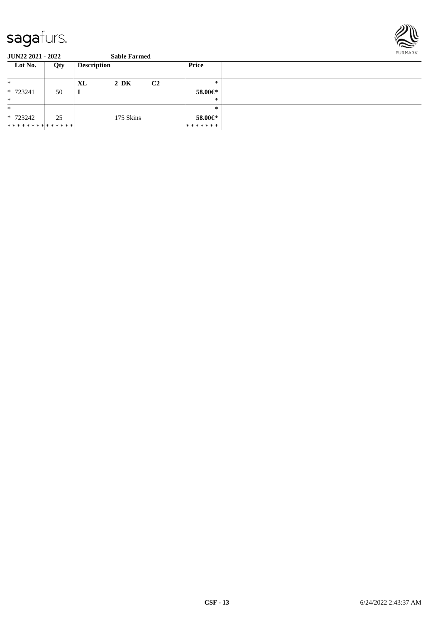

| Lot No.        | Qty | <b>Description</b>               | Price         |  |
|----------------|-----|----------------------------------|---------------|--|
| $\ast$         |     | $2\,$ DK<br>C <sub>2</sub><br>XL | $\ast$        |  |
| * 723241       | 50  | л.                               | 58.00€*       |  |
| $\ast$         |     |                                  | $*$           |  |
| $\ast$         |     |                                  | $*$           |  |
| * 723242       | 25  | 175 Skins                        | 58.00 $\in$ * |  |
| ************** |     |                                  | *******       |  |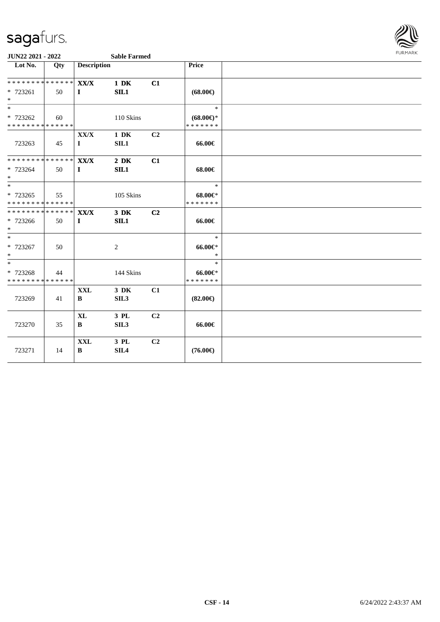

| Lot No.                                                     | Qty | <b>Description</b>         |                              |                | Price                                |  |
|-------------------------------------------------------------|-----|----------------------------|------------------------------|----------------|--------------------------------------|--|
| * * * * * * * * * * * * * * *                               |     | $\mathbf{XX}/\mathbf{X}$   | $1\ \mathrm{DK}$             | C1             |                                      |  |
| * 723261<br>$*$                                             | 50  | $\mathbf{I}$               | SL1                          |                | $(68.00\epsilon)$                    |  |
| $*$                                                         |     |                            |                              |                | $\ast$                               |  |
| * 723262<br>**************                                  | 60  |                            | 110 Skins                    |                | $(68.00\epsilon)$ *<br>* * * * * * * |  |
|                                                             |     | XX/X                       | $1\ \mathrm{DK}$             | C2             |                                      |  |
| 723263                                                      | 45  | $\mathbf{I}$               | SIL1                         |                | 66.00€                               |  |
| ******** <mark>******</mark>                                |     | <b>XX/X</b>                | $2\ \mathrm{DK}$             | C1             |                                      |  |
| * 723264<br>$*$                                             | 50  | $\mathbf{I}$               | SIL1                         |                | $68.00 \in$                          |  |
| $*$                                                         |     |                            |                              |                | $\ast$                               |  |
| * 723265                                                    | 55  |                            | 105 Skins                    |                | $68.00 \in$                          |  |
| * * * * * * * * * * * * * *<br>******** <mark>******</mark> |     |                            |                              |                | * * * * * * *                        |  |
| * 723266                                                    | 50  | <b>XX/X</b><br>$\mathbf I$ | $3$ DK<br>SL1                | C <sub>2</sub> | 66.00€                               |  |
| $*$                                                         |     |                            |                              |                |                                      |  |
| $*$                                                         |     |                            |                              |                | $\ast$                               |  |
| * 723267                                                    | 50  |                            | $\overline{2}$               |                | $66.00 \in$                          |  |
| $\ast$                                                      |     |                            |                              |                | $\ast$                               |  |
| $\overline{\phantom{0}}$                                    |     |                            |                              |                | $\ast$                               |  |
| * 723268<br>* * * * * * * * * * * * * *                     | 44  |                            | 144 Skins                    |                | $66.00 \in$<br>* * * * * * *         |  |
|                                                             |     |                            |                              | C1             |                                      |  |
| 723269                                                      | 41  | <b>XXL</b><br>$\bf{B}$     | $3\,$ DK<br>SIL <sub>3</sub> |                | $(82.00\epsilon)$                    |  |
|                                                             |     | $\mathbf{XL}$              | 3 PL                         | C2             |                                      |  |
| 723270                                                      | 35  | B                          | SIL <sub>3</sub>             |                | 66.00€                               |  |
| 723271                                                      | 14  | $\mathbf{XXL}$<br>B        | 3 PL<br>SIL <sub>4</sub>     | C <sub>2</sub> | $(76.00\epsilon)$                    |  |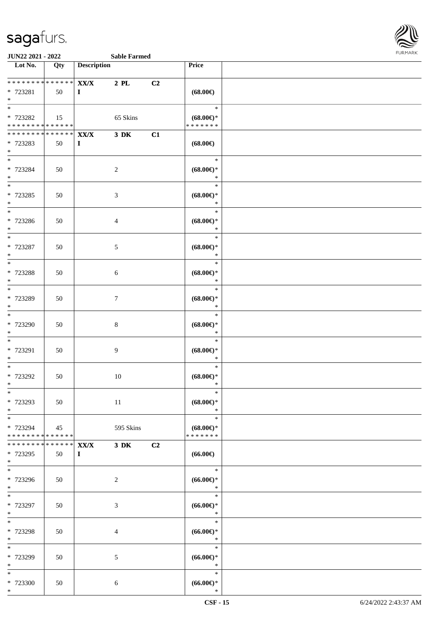

| Lot No.                                    | Qty                | <b>Description</b> |                |    | <b>Price</b>                             |  |
|--------------------------------------------|--------------------|--------------------|----------------|----|------------------------------------------|--|
| ___<br>******** <mark>******</mark>        |                    | XX/X               | $2$ PL         | C2 |                                          |  |
| * 723281                                   | 50                 | $\bf{I}$           |                |    | $(68.00\epsilon)$                        |  |
| $*$                                        |                    |                    |                |    |                                          |  |
| $\ast$                                     |                    |                    |                |    | $\ast$                                   |  |
| * 723282                                   | 15                 |                    | 65 Skins       |    | $(68.00\epsilon)$ *                      |  |
| * * * * * * * * * * * * * *                |                    |                    |                |    | * * * * * * *                            |  |
| * * * * * * * * <mark>* * * * * * *</mark> |                    | XX/X               | $3\,$ DK       | C1 |                                          |  |
| * 723283                                   | 50                 | $\bf{I}$           |                |    | $(68.00\epsilon)$                        |  |
| $*$                                        |                    |                    |                |    |                                          |  |
| $*$                                        |                    |                    |                |    | $\ast$                                   |  |
| * 723284                                   | 50                 |                    | $\overline{c}$ |    | $(68.00\epsilon)$ *                      |  |
| $*$<br>$\overline{\phantom{0}}$            |                    |                    |                |    | $\ast$                                   |  |
|                                            |                    |                    |                |    | $\ast$                                   |  |
| * 723285<br>$*$                            | 50                 |                    | $\mathfrak{Z}$ |    | $(68.00\epsilon)$ *<br>$\ast$            |  |
|                                            |                    |                    |                |    | $\ast$                                   |  |
| * 723286                                   | 50                 |                    | $\overline{4}$ |    | $(68.00\epsilon)$ *                      |  |
| $\ast$                                     |                    |                    |                |    | $\ast$                                   |  |
|                                            |                    |                    |                |    | $\ast$                                   |  |
| * 723287                                   | 50                 |                    | 5              |    | $(68.00\epsilon)$ *                      |  |
| $*$                                        |                    |                    |                |    | $\ast$                                   |  |
| $\overline{\phantom{0}}$                   |                    |                    |                |    | $\ast$                                   |  |
| * 723288                                   | 50                 |                    | 6              |    | $(68.00\epsilon)$ *                      |  |
| $*$                                        |                    |                    |                |    | $\ast$                                   |  |
| $*$                                        |                    |                    |                |    | $\ast$                                   |  |
| * 723289                                   | 50                 |                    | $\tau$         |    | $(68.00\epsilon)$ *                      |  |
| $\ast$                                     |                    |                    |                |    | $\ast$<br>$\ast$                         |  |
|                                            |                    |                    |                |    |                                          |  |
| * 723290<br>$*$                            | 50                 |                    | $8\,$          |    | $(68.00\epsilon)$ *<br>$\ast$            |  |
| $\overline{\ast}$                          |                    |                    |                |    | $\ast$                                   |  |
| * 723291                                   | 50                 |                    | 9              |    | $(68.00\epsilon)$ *                      |  |
| $\ast$                                     |                    |                    |                |    | $\ast$                                   |  |
| $*$                                        |                    |                    |                |    | $\ast$                                   |  |
| * 723292                                   | 50                 |                    | 10             |    | $(68.00\epsilon)$ *                      |  |
| $*$                                        |                    |                    |                |    | $\ast$                                   |  |
| $*$                                        |                    |                    |                |    | $\ast$                                   |  |
| * 723293                                   | 50                 |                    | 11             |    | $(68.00\epsilon)$ *                      |  |
| $*$                                        |                    |                    |                |    | $\ast$                                   |  |
| $*$                                        |                    |                    |                |    | $\ast$                                   |  |
| * 723294<br>* * * * * * * * * * * * * * *  | 45                 |                    | 595 Skins      |    | $(68.00\epsilon)$ *<br>* * * * * * *     |  |
| * * * * * * * *                            | ****** <b>XX/X</b> |                    | $3\,$ DK       | C2 |                                          |  |
| * 723295                                   | 50                 | $\bf{I}$           |                |    | $(66.00\epsilon)$                        |  |
| $*$                                        |                    |                    |                |    |                                          |  |
| $\overline{\ast}$                          |                    |                    |                |    | $\ast$                                   |  |
| * 723296                                   | 50                 |                    | 2              |    | $(66.00ε)$ *                             |  |
| $*$                                        |                    |                    |                |    | $\ast$                                   |  |
| $*$                                        |                    |                    |                |    | $\ast$                                   |  |
| * 723297                                   | 50                 |                    | 3              |    | $(66.00ε)$ *                             |  |
| $*$<br>$*$                                 |                    |                    |                |    | $\ast$<br>$\ast$                         |  |
|                                            |                    |                    |                |    |                                          |  |
| * 723298<br>$*$                            | 50                 |                    | 4              |    | $(66.00\mathnormal{\infty})^*$<br>$\ast$ |  |
| $*$                                        |                    |                    |                |    | $\ast$                                   |  |
| * 723299                                   | 50                 |                    | 5              |    | $(66.00ε)$ *                             |  |
| $*$                                        |                    |                    |                |    | $\ast$                                   |  |
| $\ast$                                     |                    |                    |                |    | $\ast$                                   |  |
| * 723300                                   | 50                 |                    | $\sqrt{6}$     |    | $(66.00ε)$ *                             |  |
| $*$                                        |                    |                    |                |    | $\ast$                                   |  |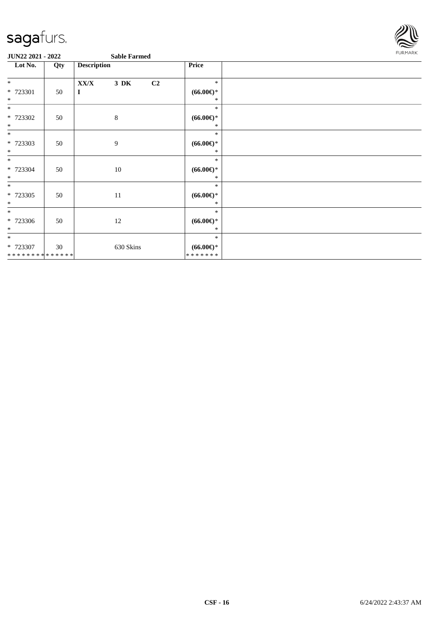

| Lot No.<br><b>Description</b><br>Qty            |    |              | Price                                   |  |
|-------------------------------------------------|----|--------------|-----------------------------------------|--|
| $*$                                             |    | XX/X<br>3 DK | $\ast$<br>C2                            |  |
| * 723301                                        | 50 | $\bf{I}$     | $(66.00ε)$ *                            |  |
| $*$<br>$\ast$                                   |    |              | ∗<br>$\ast$                             |  |
| * 723302                                        | 50 | $\,8\,$      | $(66.00ε)$ *                            |  |
| $*$<br>$*$                                      |    |              | ∗<br>$\ast$                             |  |
| * 723303<br>$\ast$                              | 50 | 9            | $(66.00ε)$ *<br>$\ast$                  |  |
| $*$<br>* 723304<br>$*$                          | 50 | 10           | $\ast$<br>$(66.00ε)$ *<br>∗             |  |
| $\ast$<br>$* 723305$<br>$*$                     | 50 | 11           | $\ast$<br>$(66.00ε)$ *<br>*             |  |
| $*$<br>* 723306<br>$*$                          | 50 | 12           | $\ast$<br>$(66.00ε)$ *<br>*             |  |
| $\overline{\ast}$<br>* 723307<br>************** | 30 | 630 Skins    | $\ast$<br>$(66.00ε)$ *<br>* * * * * * * |  |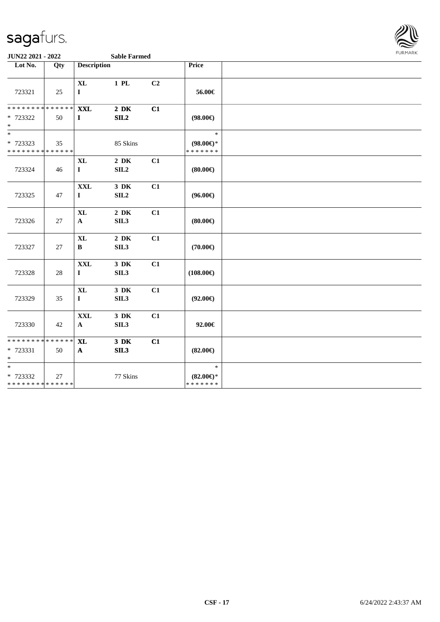

| Lot No.                                              | Qty    | <b>Description</b>                 |                              |    | Price                                          |  |
|------------------------------------------------------|--------|------------------------------------|------------------------------|----|------------------------------------------------|--|
| 723321                                               | 25     | $\bold{X}\bold{L}$<br>$\mathbf{I}$ | $1$ PL                       | C2 | 56.00€                                         |  |
| * * * * * * * * * * * * * * *<br>* 723322<br>$\ast$  | 50     | <b>XXL</b><br>$\mathbf{I}$         | $2\,$ DK<br>SL2              | C1 | $(98.00\epsilon)$                              |  |
| $\ast$<br>* 723323<br>* * * * * * * * * * * * * *    | 35     |                                    | 85 Skins                     |    | $\ast$<br>$(98.00\epsilon)$ *<br>* * * * * * * |  |
| 723324                                               | 46     | <b>XL</b><br>$\mathbf I$           | $2\,$ DK<br>SLL2             | C1 | (80.00)                                        |  |
| 723325                                               | 47     | $\mathbf{XXL}$<br>$\mathbf I$      | $3\,$ DK<br>SL2              | C1 | $(96.00\epsilon)$                              |  |
| 723326                                               | $27\,$ | <b>XL</b><br>${\bf A}$             | $2\,$ DK<br>SIL3             | C1 | (80.00)                                        |  |
| 723327                                               | 27     | $\mathbf{XL}$<br>$\bf{B}$          | $2\,$ DK<br>SIL <sub>3</sub> | C1 | $(70.00\epsilon)$                              |  |
| 723328                                               | 28     | <b>XXL</b><br>$\mathbf{I}$         | $3\,$ DK<br>SIL3             | C1 | $(108.00\epsilon)$                             |  |
| 723329                                               | 35     | $\mathbf{XL}$<br>$\mathbf I$       | $3\,$ DK<br>SIL <sub>3</sub> | C1 | $(92.00\epsilon)$                              |  |
| 723330                                               | 42     | $\mathbf{XXL}$<br>$\mathbf{A}$     | 3 DK<br>SIL <sub>3</sub>     | C1 | 92.00€                                         |  |
| * * * * * * * * * * * * * *<br>* 723331<br>$\ast$    | 50     | <b>XL</b><br>$\mathbf{A}$          | 3 DK<br>SL3                  | C1 | $(82.00\epsilon)$                              |  |
| $\ast$<br>$* 723332$<br>******** <mark>******</mark> | 27     |                                    | 77 Skins                     |    | $\ast$<br>$(82.00\epsilon)$ *<br>* * * * * * * |  |